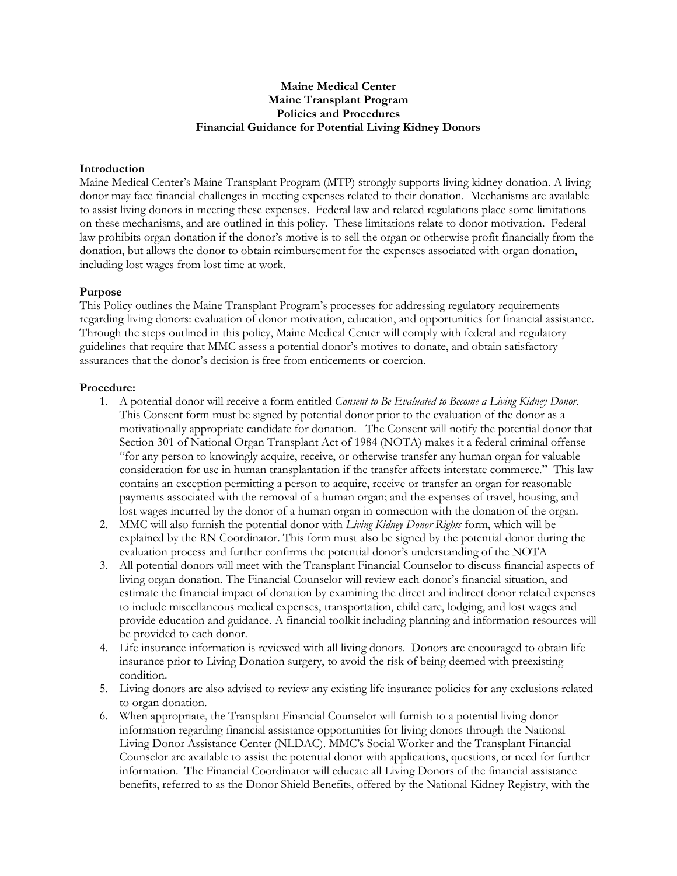## **Maine Medical Center Maine Transplant Program Policies and Procedures Financial Guidance for Potential Living Kidney Donors**

## **Introduction**

Maine Medical Center's Maine Transplant Program (MTP) strongly supports living kidney donation. A living donor may face financial challenges in meeting expenses related to their donation. Mechanisms are available to assist living donors in meeting these expenses. Federal law and related regulations place some limitations on these mechanisms, and are outlined in this policy. These limitations relate to donor motivation. Federal law prohibits organ donation if the donor's motive is to sell the organ or otherwise profit financially from the donation, but allows the donor to obtain reimbursement for the expenses associated with organ donation, including lost wages from lost time at work.

## **Purpose**

This Policy outlines the Maine Transplant Program's processes for addressing regulatory requirements regarding living donors: evaluation of donor motivation, education, and opportunities for financial assistance. Through the steps outlined in this policy, Maine Medical Center will comply with federal and regulatory guidelines that require that MMC assess a potential donor's motives to donate, and obtain satisfactory assurances that the donor's decision is free from enticements or coercion.

## **Procedure:**

- 1. A potential donor will receive a form entitled *Consent to Be Evaluated to Become a Living Kidney Donor*. This Consent form must be signed by potential donor prior to the evaluation of the donor as a motivationally appropriate candidate for donation. The Consent will notify the potential donor that Section 301 of National Organ Transplant Act of 1984 (NOTA) makes it a federal criminal offense "for any person to knowingly acquire, receive, or otherwise transfer any human organ for valuable consideration for use in human transplantation if the transfer affects interstate commerce." This law contains an exception permitting a person to acquire, receive or transfer an organ for reasonable payments associated with the removal of a human organ; and the expenses of travel, housing, and lost wages incurred by the donor of a human organ in connection with the donation of the organ.
- 2. MMC will also furnish the potential donor with *Living Kidney Donor Rights* form, which will be explained by the RN Coordinator. This form must also be signed by the potential donor during the evaluation process and further confirms the potential donor's understanding of the NOTA
- 3. All potential donors will meet with the Transplant Financial Counselor to discuss financial aspects of living organ donation. The Financial Counselor will review each donor's financial situation, and estimate the financial impact of donation by examining the direct and indirect donor related expenses to include miscellaneous medical expenses, transportation, child care, lodging, and lost wages and provide education and guidance. A financial toolkit including planning and information resources will be provided to each donor.
- 4. Life insurance information is reviewed with all living donors. Donors are encouraged to obtain life insurance prior to Living Donation surgery, to avoid the risk of being deemed with preexisting condition.
- 5. Living donors are also advised to review any existing life insurance policies for any exclusions related to organ donation.
- 6. When appropriate, the Transplant Financial Counselor will furnish to a potential living donor information regarding financial assistance opportunities for living donors through the National Living Donor Assistance Center (NLDAC). MMC's Social Worker and the Transplant Financial Counselor are available to assist the potential donor with applications, questions, or need for further information. The Financial Coordinator will educate all Living Donors of the financial assistance benefits, referred to as the Donor Shield Benefits, offered by the National Kidney Registry, with the